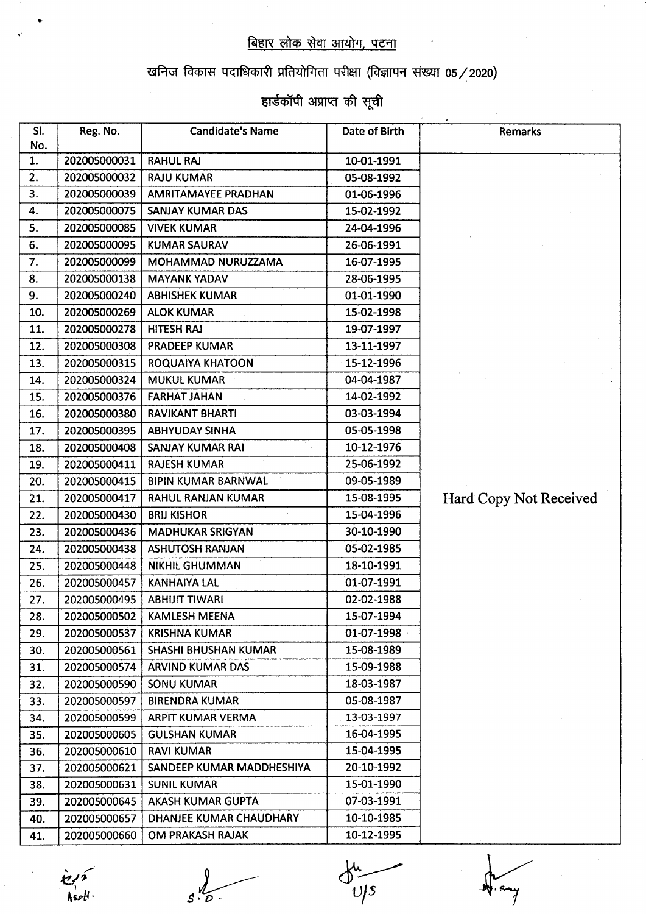## बिहार लोक सेवा आयोग, पटना

## खनिज विकास पदाधिकारी प्रतियोगिता परीक्षा (विज्ञापन संख्या 05/2020)

## हार्डकॉपी अप्राप्त की सूची

| SI.<br>No. | Reg. No.     | <b>Candidate's Name</b>    | Date of Birth | <b>Remarks</b>         |
|------------|--------------|----------------------------|---------------|------------------------|
| 1.         | 202005000031 | <b>RAHUL RAJ</b>           | 10-01-1991    |                        |
| 2.         | 202005000032 | <b>RAJU KUMAR</b>          | 05-08-1992    |                        |
| 3.         | 202005000039 | <b>AMRITAMAYEE PRADHAN</b> | 01-06-1996    |                        |
| 4.         | 202005000075 | <b>SANJAY KUMAR DAS</b>    | 15-02-1992    |                        |
| 5.         | 202005000085 | <b>VIVEK KUMAR</b>         | 24-04-1996    |                        |
| 6.         | 202005000095 | <b>KUMAR SAURAV</b>        | 26-06-1991    |                        |
| 7.         | 202005000099 | MOHAMMAD NURUZZAMA         | 16-07-1995    |                        |
| 8.         | 202005000138 | <b>MAYANK YADAV</b>        | 28-06-1995    |                        |
| 9.         | 202005000240 | <b>ABHISHEK KUMAR</b>      | 01-01-1990    |                        |
| 10.        | 202005000269 | <b>ALOK KUMAR</b>          | 15-02-1998    |                        |
| 11.        | 202005000278 | <b>HITESH RAJ</b>          | 19-07-1997    |                        |
| 12.        | 202005000308 | <b>PRADEEP KUMAR</b>       | 13-11-1997    |                        |
| 13.        | 202005000315 | ROQUAIYA KHATOON           | 15-12-1996    |                        |
| 14.        | 202005000324 | <b>MUKUL KUMAR</b>         | 04-04-1987    |                        |
| 15.        | 202005000376 | <b>FARHAT JAHAN</b>        | 14-02-1992    |                        |
| 16.        | 202005000380 | <b>RAVIKANT BHARTI</b>     | 03-03-1994    |                        |
| 17.        | 202005000395 | <b>ABHYUDAY SINHA</b>      | 05-05-1998    |                        |
| 18.        | 202005000408 | <b>SANJAY KUMAR RAI</b>    | 10-12-1976    |                        |
| 19.        | 202005000411 | <b>RAJESH KUMAR</b>        | 25-06-1992    |                        |
| 20.        | 202005000415 | <b>BIPIN KUMAR BARNWAL</b> | 09-05-1989    |                        |
| 21.        | 202005000417 | RAHUL RANJAN KUMAR         | 15-08-1995    | Hard Copy Not Received |
| 22.        | 202005000430 | <b>BRIJ KISHOR</b>         | 15-04-1996    |                        |
| 23.        | 202005000436 | <b>MADHUKAR SRIGYAN</b>    | 30-10-1990    |                        |
| 24.        | 202005000438 | <b>ASHUTOSH RANJAN</b>     | 05-02-1985    |                        |
| 25.        | 202005000448 | <b>NIKHIL GHUMMAN</b>      | 18-10-1991    |                        |
| 26.        | 202005000457 | <b>KANHAIYA LAL</b>        | 01-07-1991    |                        |
| 27.        | 202005000495 | <b>ABHIJIT TIWARI</b>      | 02-02-1988    |                        |
| 28.        | 202005000502 | KAMLESH MEENA              | 15-07-1994    |                        |
| 29.        | 202005000537 | <b>KRISHNA KUMAR</b>       | 01-07-1998    |                        |
| 30.        | 202005000561 | SHASHI BHUSHAN KUMAR       | 15-08-1989    |                        |
| 31.        | 202005000574 | <b>ARVIND KUMAR DAS</b>    | 15-09-1988    |                        |
| 32.        | 202005000590 | <b>SONU KUMAR</b>          | 18-03-1987    |                        |
| 33.        | 202005000597 | <b>BIRENDRA KUMAR</b>      | 05-08-1987    |                        |
| 34.        | 202005000599 | ARPIT KUMAR VERMA          | 13-03-1997    |                        |
| 35.        | 202005000605 | <b>GULSHAN KUMAR</b>       | 16-04-1995    |                        |
| 36.        | 202005000610 | <b>RAVI KUMAR</b>          | 15-04-1995    |                        |
| 37.        | 202005000621 | SANDEEP KUMAR MADDHESHIYA  | 20-10-1992    |                        |
| 38.        | 202005000631 | <b>SUNIL KUMAR</b>         | 15-01-1990    |                        |
| 39.        | 202005000645 | AKASH KUMAR GUPTA          | 07-03-1991    |                        |
| 40.        | 202005000657 | DHANJEE KUMAR CHAUDHARY    | 10-10-1985    |                        |
| 41.        | 202005000660 | OM PRAKASH RAJAK           | 10-12-1995    |                        |

 $e^{\gamma}$  $\frac{1}{2}$ tek $\frac{1}{2}$ 

 $s.\tilde{b}$ .

 $\frac{du}{v/s}$ 

y<br>Sary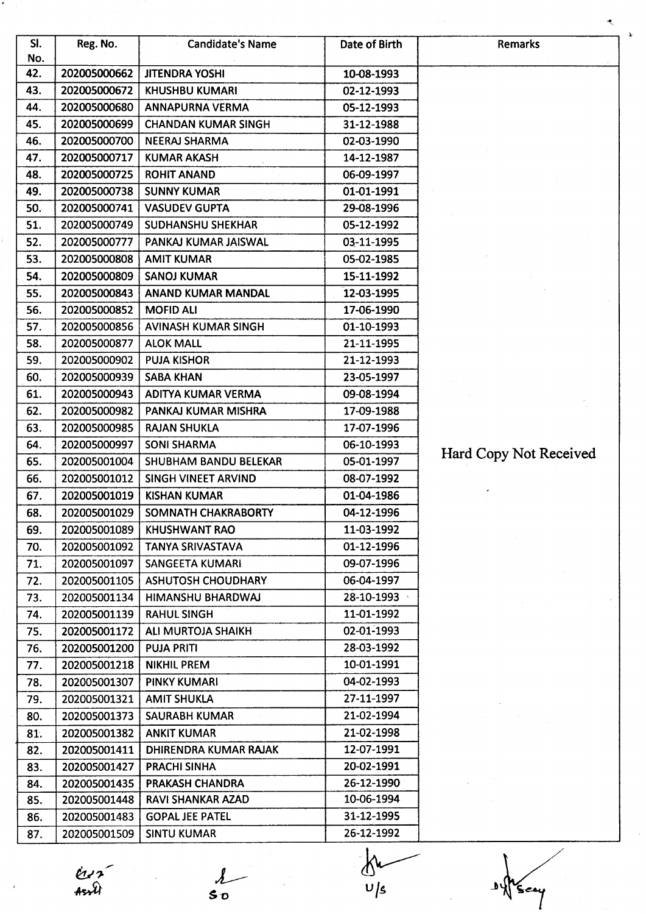| SI.<br>No. | Reg. No.     | <b>Candidate's Name</b>      | Date of Birth | Remarks                |
|------------|--------------|------------------------------|---------------|------------------------|
| 42.        | 202005000662 | <b>JITENDRA YOSHI</b>        | 10-08-1993    |                        |
| 43.        | 202005000672 | <b>KHUSHBU KUMARI</b>        | 02-12-1993    |                        |
| 44.        | 202005000680 | <b>ANNAPURNA VERMA</b>       | 05-12-1993    |                        |
| 45.        | 202005000699 | <b>CHANDAN KUMAR SINGH</b>   | 31-12-1988    |                        |
| 46.        | 202005000700 | <b>NEERAJ SHARMA</b>         | 02-03-1990    |                        |
| 47.        | 202005000717 | <b>KUMAR AKASH</b>           | 14-12-1987    |                        |
| 48.        | 202005000725 | <b>ROHIT ANAND</b>           | 06-09-1997    |                        |
| 49.        | 202005000738 | <b>SUNNY KUMAR</b>           | 01-01-1991    |                        |
| 50.        | 202005000741 | <b>VASUDEV GUPTA</b>         | 29-08-1996    |                        |
| 51.        | 202005000749 | SUDHANSHU SHEKHAR            | 05-12-1992    |                        |
| 52.        | 202005000777 | PANKAJ KUMAR JAISWAL         | 03-11-1995    |                        |
| 53.        | 202005000808 | <b>AMIT KUMAR</b>            | 05-02-1985    |                        |
| 54.        | 202005000809 | <b>SANOJ KUMAR</b>           | 15-11-1992    |                        |
| 55.        | 202005000843 | <b>ANAND KUMAR MANDAL</b>    | 12-03-1995    |                        |
| 56.        | 202005000852 | <b>MOFID ALI</b>             | 17-06-1990    |                        |
| 57.        | 202005000856 | <b>AVINASH KUMAR SINGH</b>   | 01-10-1993    |                        |
| 58.        | 202005000877 | <b>ALOK MALL</b>             | 21-11-1995    |                        |
| 59.        | 202005000902 | <b>PUJA KISHOR</b>           | 21-12-1993    |                        |
| 60.        | 202005000939 | <b>SABA KHAN</b>             | 23-05-1997    |                        |
| 61.        | 202005000943 | ADITYA KUMAR VERMA           | 09-08-1994    |                        |
| 62.        | 202005000982 | PANKAJ KUMAR MISHRA          | 17-09-1988    |                        |
| 63.        | 202005000985 | <b>RAJAN SHUKLA</b>          | 17-07-1996    |                        |
| 64.        | 202005000997 | <b>SONI SHARMA</b>           | 06-10-1993    |                        |
| 65.        | 202005001004 | <b>SHUBHAM BANDU BELEKAR</b> | 05-01-1997    | Hard Copy Not Received |
| 66.        | 202005001012 | SINGH VINEET ARVIND          | 08-07-1992    |                        |
| 67.        | 202005001019 | <b>KISHAN KUMAR</b>          | 01-04-1986    |                        |
| 68.        | 202005001029 | SOMNATH CHAKRABORTY          | 04-12-1996    |                        |
| 69.        | 202005001089 | <b>KHUSHWANT RAO</b>         | 11-03-1992    |                        |
| 70.        | 202005001092 | <b>TANYA SRIVASTAVA</b>      | 01-12-1996    |                        |
| 71.        | 202005001097 | <b>SANGEETA KUMARI</b>       | 09-07-1996    |                        |
| 72.        | 202005001105 | <b>ASHUTOSH CHOUDHARY</b>    | 06-04-1997    |                        |
| 73.        | 202005001134 | HIMANSHU BHARDWAJ            | 28-10-1993    |                        |
| 74.        | 202005001139 | <b>RAHUL SINGH</b>           | 11-01-1992    |                        |
| 75.        | 202005001172 | ALI MURTOJA SHAIKH           | 02-01-1993    |                        |
| 76.        | 202005001200 | <b>PUJA PRITI</b>            | 28-03-1992    |                        |
| 77.        | 202005001218 | <b>NIKHIL PREM</b>           | 10-01-1991    |                        |
| 78.        | 202005001307 | <b>PINKY KUMARI</b>          | 04-02-1993    |                        |
| 79.        | 202005001321 | <b>AMIT SHUKLA</b>           | 27-11-1997    |                        |
| 80.        | 202005001373 | SAURABH KUMAR                | 21-02-1994    |                        |
| 81.        | 202005001382 | <b>ANKIT KUMAR</b>           | 21-02-1998    |                        |
| 82.        | 202005001411 | <b>DHIRENDRA KUMAR RAJAK</b> | 12-07-1991    |                        |
| 83.        | 202005001427 | <b>PRACHI SINHA</b>          | 20-02-1991    |                        |
| 84.        | 202005001435 | PRAKASH CHANDRA              | 26-12-1990    |                        |
| 85.        | 202005001448 | RAVI SHANKAR AZAD            | 10-06-1994    |                        |
| 86.        | 202005001483 | <b>GOPAL JEE PATEL</b>       | 31-12-1995    |                        |
|            |              |                              |               |                        |

 $\frac{du}{dt}$  ,  $\frac{1}{50}$ 

 $\frac{\Delta}{\sin \theta}$   $\frac{\Delta u}{v/s}$ 

-D 1

<sup>\*</sup>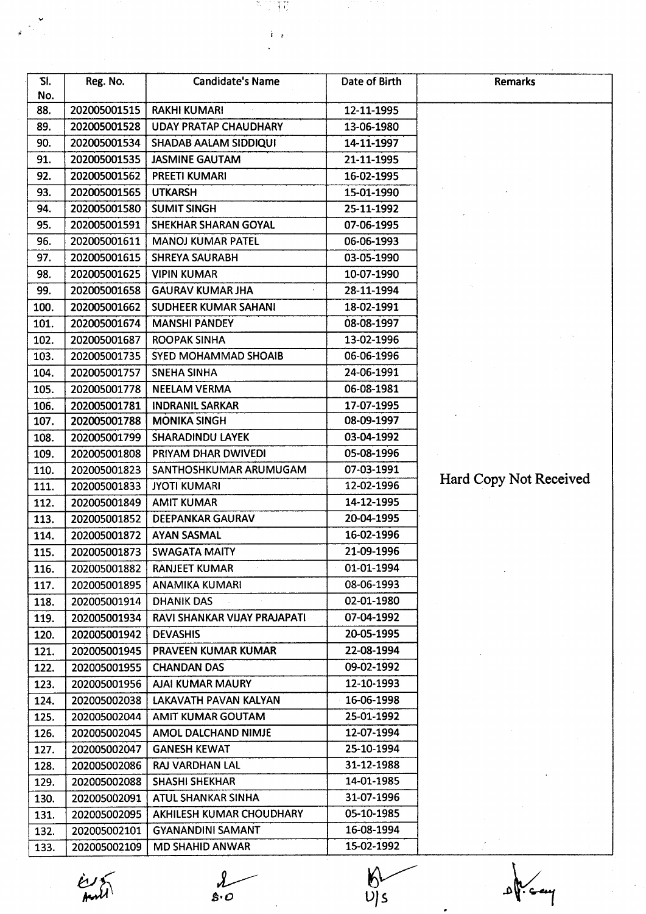| SI.<br>No. | Reg. No.     | <b>Candidate's Name</b>      | Date of Birth | Remarks                |
|------------|--------------|------------------------------|---------------|------------------------|
| 88.        | 202005001515 | <b>RAKHI KUMARI</b>          | 12-11-1995    |                        |
| 89.        | 202005001528 | <b>UDAY PRATAP CHAUDHARY</b> | 13-06-1980    |                        |
| 90.        | 202005001534 | <b>SHADAB AALAM SIDDIQUI</b> | 14-11-1997    |                        |
| 91.        | 202005001535 | <b>JASMINE GAUTAM</b>        | 21-11-1995    |                        |
| 92.        | 202005001562 | <b>PREETI KUMARI</b>         | 16-02-1995    |                        |
| 93.        | 202005001565 | <b>UTKARSH</b>               | 15-01-1990    |                        |
| 94.        | 202005001580 | <b>SUMIT SINGH</b>           | 25-11-1992    |                        |
| 95.        | 202005001591 | SHEKHAR SHARAN GOYAL         | 07-06-1995    |                        |
| 96.        | 202005001611 | <b>MANOJ KUMAR PATEL</b>     | 06-06-1993    |                        |
| 97.        | 202005001615 | <b>SHREYA SAURABH</b>        | 03-05-1990    |                        |
| 98.        | 202005001625 | <b>VIPIN KUMAR</b>           | 10-07-1990    |                        |
| 99.        | 202005001658 | <b>GAURAV KUMAR JHA</b>      | 28-11-1994    |                        |
| 100.       | 202005001662 | <b>SUDHEER KUMAR SAHANI</b>  | 18-02-1991    |                        |
| 101.       | 202005001674 | <b>MANSHI PANDEY</b>         | 08-08-1997    |                        |
| 102.       | 202005001687 | <b>ROOPAK SINHA</b>          | 13-02-1996    |                        |
| 103.       | 202005001735 | SYED MOHAMMAD SHOAIB         | 06-06-1996    |                        |
| 104.       | 202005001757 | <b>SNEHA SINHA</b>           | 24-06-1991    |                        |
| 105.       | 202005001778 | <b>NEELAM VERMA</b>          | 06-08-1981    |                        |
| 106.       | 202005001781 | <b>INDRANIL SARKAR</b>       | 17-07-1995    |                        |
| 107.       | 202005001788 | <b>MONIKA SINGH</b>          | 08-09-1997    |                        |
| 108.       | 202005001799 | <b>SHARADINDU LAYEK</b>      | 03-04-1992    |                        |
| 109.       | 202005001808 | PRIYAM DHAR DWIVEDI          | 05-08-1996    |                        |
| 110.       | 202005001823 | SANTHOSHKUMAR ARUMUGAM       | 07-03-1991    |                        |
| 111.       | 202005001833 | <b>JYOTI KUMARI</b>          | 12-02-1996    | Hard Copy Not Received |
| 112.       | 202005001849 | <b>AMIT KUMAR</b>            | 14-12-1995    |                        |
| 113.       | 202005001852 | <b>DEEPANKAR GAURAV</b>      | 20-04-1995    |                        |
| 114.       | 202005001872 | <b>AYAN SASMAL</b>           | 16-02-1996    |                        |
| 115.       | 202005001873 | <b>SWAGATA MAITY</b>         | 21-09-1996    |                        |
| 116.       | 202005001882 | <b>RANJEET KUMAR</b>         | 01-01-1994    |                        |
| 117.       | 202005001895 | <b>ANAMIKA KUMARI</b>        | 08-06-1993    |                        |
| 118.       | 202005001914 | <b>DHANIK DAS</b>            | 02-01-1980    |                        |
| 119.       | 202005001934 | RAVI SHANKAR VIJAY PRAJAPATI | 07-04-1992    |                        |
| 120.       | 202005001942 | <b>DEVASHIS</b>              | 20-05-1995    |                        |
| 121.       | 202005001945 | PRAVEEN KUMAR KUMAR          | 22-08-1994    |                        |
| 122.       | 202005001955 | <b>CHANDAN DAS</b>           | 09-02-1992    |                        |
| 123.       | 202005001956 | <b>AJAI KUMAR MAURY</b>      | 12-10-1993    |                        |
| 124.       | 202005002038 | LAKAVATH PAVAN KALYAN        | 16-06-1998    |                        |
| 125.       | 202005002044 | AMIT KUMAR GOUTAM            | 25-01-1992    |                        |
| 126.       | 202005002045 | AMOL DALCHAND NIMJE          | 12-07-1994    |                        |
| 127.       | 202005002047 | <b>GANESH KEWAT</b>          | 25-10-1994    |                        |
| 128.       | 202005002086 | RAJ VARDHAN LAL              | 31-12-1988    |                        |
| 129.       | 202005002088 | <b>SHASHI SHEKHAR</b>        | 14-01-1985    |                        |
| 130.       | 202005002091 | ATUL SHANKAR SINHA           | 31-07-1996    |                        |
| 131.       | 202005002095 | AKHILESH KUMAR CHOUDHARY     | 05-10-1985    |                        |
| 132.       | 202005002101 | <b>GYANANDINI SAMANT</b>     | 16-08-1994    |                        |
| 133.       | 202005002109 | <b>MD SHAHID ANWAR</b>       | 15-02-1992    |                        |

ii

M.

 $\mathcal{F}_{\mathcal{A}}$  is a set of the set of the set of the set of the set of the set of the set of the set of the set of the set of the set of the set of the set of the set of the set of the set of the set of the set of the set

 $\lambda$ <br> $s.o$ 

 $rac{1}{\sqrt{2}}$ 

 $\frac{\partial V}{\partial t}$   $\frac{\partial V}{\partial s}$   $\frac{\partial V}{\partial t}$   $\frac{\partial V}{\partial t}$